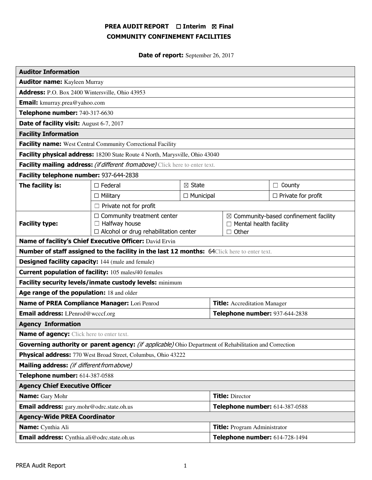# PREA AUDIT REPORT □ Interim 図 Final COMMUNITY CONFINEMENT FACILITIES

Date of report: September 26, 2017

| <b>Auditor Information</b>                                                                             |                                                                                                              |                   |                                                                                                   |                           |  |
|--------------------------------------------------------------------------------------------------------|--------------------------------------------------------------------------------------------------------------|-------------------|---------------------------------------------------------------------------------------------------|---------------------------|--|
| <b>Auditor name:</b> Kayleen Murray                                                                    |                                                                                                              |                   |                                                                                                   |                           |  |
| Address: P.O. Box 2400 Wintersville, Ohio 43953                                                        |                                                                                                              |                   |                                                                                                   |                           |  |
| <b>Email:</b> kmurray.prea@yahoo.com                                                                   |                                                                                                              |                   |                                                                                                   |                           |  |
| Telephone number: 740-317-6630                                                                         |                                                                                                              |                   |                                                                                                   |                           |  |
| Date of facility visit: August 6-7, 2017                                                               |                                                                                                              |                   |                                                                                                   |                           |  |
| <b>Facility Information</b>                                                                            |                                                                                                              |                   |                                                                                                   |                           |  |
| <b>Facility name:</b> West Central Community Correctional Facility                                     |                                                                                                              |                   |                                                                                                   |                           |  |
| Facility physical address: 18200 State Route 4 North, Marysville, Ohio 43040                           |                                                                                                              |                   |                                                                                                   |                           |  |
| Facility mailing address: (if different from above) Click here to enter text.                          |                                                                                                              |                   |                                                                                                   |                           |  |
| Facility telephone number: 937-644-2838                                                                |                                                                                                              |                   |                                                                                                   |                           |  |
| The facility is:                                                                                       | $\Box$ Federal                                                                                               | $\boxtimes$ State |                                                                                                   | County<br>$\Box$          |  |
|                                                                                                        | $\Box$ Military<br>$\Box$ Municipal                                                                          |                   |                                                                                                   | $\Box$ Private for profit |  |
|                                                                                                        | $\Box$ Private not for profit                                                                                |                   |                                                                                                   |                           |  |
| <b>Facility type:</b>                                                                                  | $\Box$ Community treatment center<br>Halfway house<br>$\Box$<br>$\Box$ Alcohol or drug rehabilitation center |                   | $\boxtimes$ Community-based confinement facility<br>$\Box$ Mental health facility<br>$\Box$ Other |                           |  |
| Name of facility's Chief Executive Officer: David Ervin                                                |                                                                                                              |                   |                                                                                                   |                           |  |
| <b>Number of staff assigned to the facility in the last 12 months:</b> 64Click here to enter text.     |                                                                                                              |                   |                                                                                                   |                           |  |
| <b>Designed facility capacity:</b> 144 (male and female)                                               |                                                                                                              |                   |                                                                                                   |                           |  |
| <b>Current population of facility:</b> 105 males/40 females                                            |                                                                                                              |                   |                                                                                                   |                           |  |
| Facility security levels/inmate custody levels: minimum                                                |                                                                                                              |                   |                                                                                                   |                           |  |
| Age range of the population: 18 and older                                                              |                                                                                                              |                   |                                                                                                   |                           |  |
| Name of PREA Compliance Manager: Lori Penrod                                                           |                                                                                                              |                   | <b>Title:</b> Accreditation Manager                                                               |                           |  |
| <b>Email address:</b> LPenrod@wcccf.org                                                                |                                                                                                              |                   | Telephone number: 937-644-2838                                                                    |                           |  |
| <b>Agency Information</b>                                                                              |                                                                                                              |                   |                                                                                                   |                           |  |
| <b>Name of agency:</b> Click here to enter text.                                                       |                                                                                                              |                   |                                                                                                   |                           |  |
| Governing authority or parent agency: (if applicable) Ohio Department of Rehabilitation and Correction |                                                                                                              |                   |                                                                                                   |                           |  |
| Physical address: 770 West Broad Street, Columbus, Ohio 43222                                          |                                                                                                              |                   |                                                                                                   |                           |  |
| Mailing address: (if different from above)                                                             |                                                                                                              |                   |                                                                                                   |                           |  |
| Telephone number: 614-387-0588                                                                         |                                                                                                              |                   |                                                                                                   |                           |  |
| <b>Agency Chief Executive Officer</b>                                                                  |                                                                                                              |                   |                                                                                                   |                           |  |
| <b>Name:</b> Gary Mohr                                                                                 |                                                                                                              |                   | <b>Title: Director</b>                                                                            |                           |  |
| Email address: gary.mohr@odrc.state.oh.us                                                              |                                                                                                              |                   | Telephone number: 614-387-0588                                                                    |                           |  |
| <b>Agency-Wide PREA Coordinator</b>                                                                    |                                                                                                              |                   |                                                                                                   |                           |  |
| Name: Cynthia Ali                                                                                      |                                                                                                              |                   | <b>Title:</b> Program Administrator                                                               |                           |  |
| Email address: Cynthia.ali@odrc.state.oh.us                                                            |                                                                                                              |                   | Telephone number: 614-728-1494                                                                    |                           |  |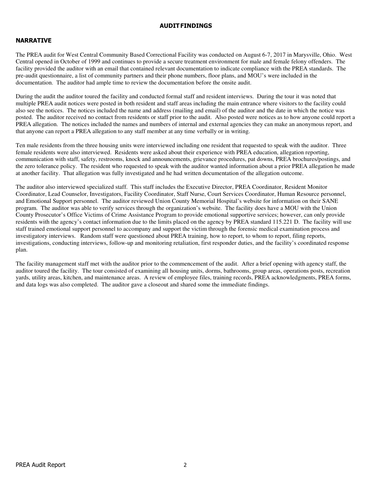#### AUDIT FINDINGS

# NARRATIVE

The PREA audit for West Central Community Based Correctional Facility was conducted on August 6-7, 2017 in Marysville, Ohio. West Central opened in October of 1999 and continues to provide a secure treatment environment for male and female felony offenders. The facility provided the auditor with an email that contained relevant documentation to indicate compliance with the PREA standards. The pre-audit questionnaire, a list of community partners and their phone numbers, floor plans, and MOU's were included in the documentation. The auditor had ample time to review the documentation before the onsite audit.

During the audit the auditor toured the facility and conducted formal staff and resident interviews. During the tour it was noted that multiple PREA audit notices were posted in both resident and staff areas including the main entrance where visitors to the facility could also see the notices. The notices included the name and address (mailing and email) of the auditor and the date in which the notice was posted. The auditor received no contact from residents or staff prior to the audit. Also posted were notices as to how anyone could report a PREA allegation. The notices included the names and numbers of internal and external agencies they can make an anonymous report, and that anyone can report a PREA allegation to any staff member at any time verbally or in writing.

Ten male residents from the three housing units were interviewed including one resident that requested to speak with the auditor. Three female residents were also interviewed. Residents were asked about their experience with PREA education, allegation reporting, communication with staff, safety, restrooms, knock and announcements, grievance procedures, pat downs, PREA brochures/postings, and the zero tolerance policy. The resident who requested to speak with the auditor wanted information about a prior PREA allegation he made at another facility. That allegation was fully investigated and he had written documentation of the allegation outcome.

The auditor also interviewed specialized staff. This staff includes the Executive Director, PREA Coordinator, Resident Monitor Coordinator, Lead Counselor, Investigators, Facility Coordinator, Staff Nurse, Court Services Coordinator, Human Resource personnel, and Emotional Support personnel. The auditor reviewed Union County Memorial Hospital's website for information on their SANE program. The auditor was able to verify services through the organization's website. The facility does have a MOU with the Union County Prosecutor's Office Victims of Crime Assistance Program to provide emotional supportive services; however, can only provide residents with the agency's contact information due to the limits placed on the agency by PREA standard 115.221 D. The facility will use staff trained emotional support personnel to accompany and support the victim through the forensic medical examination process and investigatory interviews. Random staff were questioned about PREA training, how to report, to whom to report, filing reports, investigations, conducting interviews, follow-up and monitoring retaliation, first responder duties, and the facility's coordinated response plan.

The facility management staff met with the auditor prior to the commencement of the audit. After a brief opening with agency staff, the auditor toured the facility. The tour consisted of examining all housing units, dorms, bathrooms, group areas, operations posts, recreation yards, utility areas, kitchen, and maintenance areas. A review of employee files, training records, PREA acknowledgments, PREA forms, and data logs was also completed. The auditor gave a closeout and shared some the immediate findings.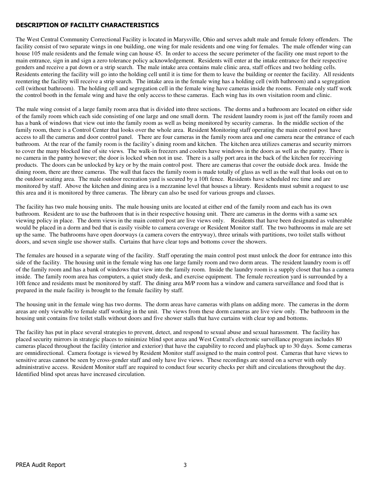# DESCRIPTION OF FACILITY CHARACTERISTICS

The West Central Community Correctional Facility is located in Marysville, Ohio and serves adult male and female felony offenders. The facility consist of two separate wings in one building, one wing for male residents and one wing for females. The male offender wing can house 105 male residents and the female wing can house 45. In order to access the secure perimeter of the facility one must report to the main entrance, sign in and sign a zero tolerance policy acknowledgement. Residents will enter at the intake entrance for their respective genders and receive a pat down or a strip search. The male intake area contains male clinic area, staff offices and two holding cells. Residents entering the facility will go into the holding cell until it is time for them to leave the building or reenter the facility. All residents reentering the facility will receive a strip search. The intake area in the female wing has a holding cell (with bathroom) and a segregation cell (without bathroom). The holding cell and segregation cell in the female wing have cameras inside the rooms. Female only staff work the control booth in the female wing and have the only access to these cameras. Each wing has its own visitation room and clinic.

The male wing consist of a large family room area that is divided into three sections. The dorms and a bathroom are located on either side of the family room which each side consisting of one large and one small dorm. The resident laundry room is just off the family room and has a bank of windows that view out into the family room as well as being monitored by security cameras. In the middle section of the family room, there is a Control Center that looks over the whole area. Resident Monitoring staff operating the main control post have access to all the cameras and door control panel. There are four cameras in the family room area and one camera near the entrance of each bathroom. At the rear of the family room is the facility's dining room and kitchen. The kitchen area utilizes cameras and security mirrors to cover the many blocked line of site views. The walk-in freezers and coolers have windows in the doors as well as the pantry. There is no camera in the pantry however; the door is locked when not in use. There is a sally port area in the back of the kitchen for receiving products. The doors can be unlocked by key or by the main control post. There are cameras that cover the outside dock area. Inside the dining room, there are three cameras. The wall that faces the family room is made totally of glass as well as the wall that looks out on to the outdoor seating area. The male outdoor recreation yard is secured by a 10ft fence. Residents have scheduled rec time and are monitored by staff. Above the kitchen and dining area is a mezzanine level that houses a library. Residents must submit a request to use this area and it is monitored by three cameras. The library can also be used for various groups and classes.

The facility has two male housing units. The male housing units are located at either end of the family room and each has its own bathroom. Resident are to use the bathroom that is in their respective housing unit. There are cameras in the dorms with a same sex viewing policy in place. The dorm views in the main control post are live views only. Residents that have been designated as vulnerable would be placed in a dorm and bed that is easily visible to camera coverage or Resident Monitor staff. The two bathrooms in male are set up the same. The bathrooms have open doorways (a camera covers the entryway), three urinals with partitions, two toilet stalls without doors, and seven single use shower stalls. Curtains that have clear tops and bottoms cover the showers.

The females are housed in a separate wing of the facility. Staff operating the main control post must unlock the door for entrance into this side of the facility. The housing unit in the female wing has one large family room and two dorm areas. The resident laundry room is off of the family room and has a bank of windows that view into the family room. Inside the laundry room is a supply closet that has a camera inside. The family room area has computers, a quiet study desk, and exercise equipment. The female recreation yard is surrounded by a 10ft fence and residents must be monitored by staff. The dining area M/P room has a window and camera surveillance and food that is prepared in the male facility is brought to the female facility by staff.

The housing unit in the female wing has two dorms. The dorm areas have cameras with plans on adding more. The cameras in the dorm areas are only viewable to female staff working in the unit. The views from these dorm cameras are live view only. The bathroom in the housing unit contains five toilet stalls without doors and five shower stalls that have curtains with clear top and bottoms.

The facility has put in place several strategies to prevent, detect, and respond to sexual abuse and sexual harassment. The facility has placed security mirrors in strategic places to minimize blind spot areas and West Central's electronic surveillance program includes 80 cameras placed throughout the facility (interior and exterior) that have the capability to record and playback up to 30 days. Some cameras are omnidirectional. Camera footage is viewed by Resident Monitor staff assigned to the main control post. Cameras that have views to sensitive areas cannot be seen by cross-gender staff and only have live views. These recordings are stored on a server with only administrative access. Resident Monitor staff are required to conduct four security checks per shift and circulations throughout the day. Identified blind spot areas have increased circulation.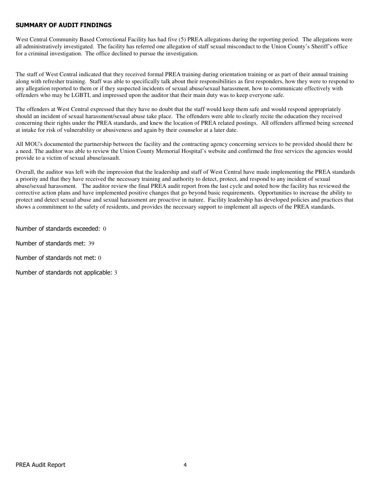# SUMMARY OF AUDIT FINDINGS

West Central Community Based Correctional Facility has had five (5) PREA allegations during the reporting period. The allegations were all administratively investigated. The facility has referred one allegation of staff sexual misconduct to the Union County's Sheriff's office for a criminal investigation. The office declined to pursue the investigation.

The staff of West Central indicated that they received formal PREA training during orientation training or as part of their annual training along with refresher training. Staff was able to specifically talk about their responsibilities as first responders, how they were to respond to any allegation reported to them or if they suspected incidents of sexual abuse/sexual harassment, how to communicate effectively with offenders who may be LGBTI, and impressed upon the auditor that their main duty was to keep everyone safe.

The offenders at West Central expressed that they have no doubt that the staff would keep them safe and would respond appropriately should an incident of sexual harassment/sexual abuse take place. The offenders were able to clearly recite the education they received concerning their rights under the PREA standards, and knew the location of PREA related postings. All offenders affirmed being screened at intake for risk of vulnerability or abusiveness and again by their counselor at a later date.

All MOU's documented the partnership between the facility and the contracting agency concerning services to be provided should there be a need. The auditor was able to review the Union County Memorial Hospital's website and confirmed the free services the agencies would provide to a victim of sexual abuse/assault.

Overall, the auditor was left with the impression that the leadership and staff of West Central have made implementing the PREA standards a priority and that they have received the necessary training and authority to detect, protect, and respond to any incident of sexual abuse/sexual harassment. The auditor review the final PREA audit report from the last cycle and noted how the facility has reviewed the corrective action plans and have implemented positive changes that go beyond basic requirements. Opportunities to increase the ability to protect and detect sexual abuse and sexual harassment are proactive in nature. Facility leadership has developed policies and practices that shows a commitment to the safety of residents, and provides the necessary support to implement all aspects of the PREA standards.

Number of standards exceeded: 0

Number of standards met: 39

Number of standards not met: 0

Number of standards not applicable: 3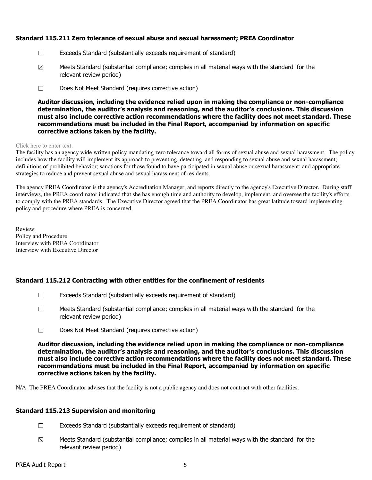# Standard 115.211 Zero tolerance of sexual abuse and sexual harassment; PREA Coordinator

- ☐ Exceeds Standard (substantially exceeds requirement of standard)
- $\boxtimes$  Meets Standard (substantial compliance; complies in all material ways with the standard for the relevant review period)
- ☐ Does Not Meet Standard (requires corrective action)

Auditor discussion, including the evidence relied upon in making the compliance or non-compliance determination, the auditor's analysis and reasoning, and the auditor's conclusions. This discussion must also include corrective action recommendations where the facility does not meet standard. These recommendations must be included in the Final Report, accompanied by information on specific corrective actions taken by the facility.

#### Click here to enter text.

The facility has an agency wide written policy mandating zero tolerance toward all forms of sexual abuse and sexual harassment. The policy includes how the facility will implement its approach to preventing, detecting, and responding to sexual abuse and sexual harassment; definitions of prohibited behavior; sanctions for those found to have participated in sexual abuse or sexual harassment; and appropriate strategies to reduce and prevent sexual abuse and sexual harassment of residents.

The agency PREA Coordinator is the agency's Accreditation Manager, and reports directly to the agency's Executive Director. During staff interviews, the PREA coordinator indicated that she has enough time and authority to develop, implement, and oversee the facility's efforts to comply with the PREA standards. The Executive Director agreed that the PREA Coordinator has great latitude toward implementing policy and procedure where PREA is concerned.

Review: Policy and Procedure Interview with PREA Coordinator Interview with Executive Director

# Standard 115.212 Contracting with other entities for the confinement of residents

- $\Box$  Exceeds Standard (substantially exceeds requirement of standard)
- $\Box$  Meets Standard (substantial compliance; complies in all material ways with the standard for the relevant review period)
- ☐ Does Not Meet Standard (requires corrective action)

Auditor discussion, including the evidence relied upon in making the compliance or non-compliance determination, the auditor's analysis and reasoning, and the auditor's conclusions. This discussion must also include corrective action recommendations where the facility does not meet standard. These recommendations must be included in the Final Report, accompanied by information on specific corrective actions taken by the facility.

N/A: The PREA Coordinator advises that the facility is not a public agency and does not contract with other facilities.

# Standard 115.213 Supervision and monitoring

- $\Box$  Exceeds Standard (substantially exceeds requirement of standard)
- $\boxtimes$  Meets Standard (substantial compliance; complies in all material ways with the standard for the relevant review period)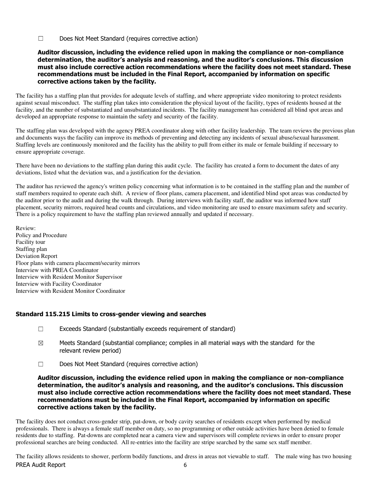☐ Does Not Meet Standard (requires corrective action)

### Auditor discussion, including the evidence relied upon in making the compliance or non-compliance determination, the auditor's analysis and reasoning, and the auditor's conclusions. This discussion must also include corrective action recommendations where the facility does not meet standard. These recommendations must be included in the Final Report, accompanied by information on specific corrective actions taken by the facility.

The facility has a staffing plan that provides for adequate levels of staffing, and where appropriate video monitoring to protect residents against sexual misconduct. The staffing plan takes into consideration the physical layout of the facility, types of residents housed at the facility, and the number of substantiated and unsubstantiated incidents. The facility management has considered all blind spot areas and developed an appropriate response to maintain the safety and security of the facility.

The staffing plan was developed with the agency PREA coordinator along with other facility leadership. The team reviews the previous plan and documents ways the facility can improve its methods of preventing and detecting any incidents of sexual abuse/sexual harassment. Staffing levels are continuously monitored and the facility has the ability to pull from either its male or female building if necessary to ensure appropriate coverage.

There have been no deviations to the staffing plan during this audit cycle. The facility has created a form to document the dates of any deviations, listed what the deviation was, and a justification for the deviation.

The auditor has reviewed the agency's written policy concerning what information is to be contained in the staffing plan and the number of staff members required to operate each shift. A review of floor plans, camera placement, and identified blind spot areas was conducted by the auditor prior to the audit and during the walk through. During interviews with facility staff, the auditor was informed how staff placement, security mirrors, required head counts and circulations, and video monitoring are used to ensure maximum safety and security. There is a policy requirement to have the staffing plan reviewed annually and updated if necessary.

Review: Policy and Procedure Facility tour Staffing plan Deviation Report Floor plans with camera placement/security mirrors Interview with PREA Coordinator Interview with Resident Monitor Supervisor Interview with Facility Coordinator Interview with Resident Monitor Coordinator

# Standard 115.215 Limits to cross-gender viewing and searches

- ☐ Exceeds Standard (substantially exceeds requirement of standard)
- $\boxtimes$  Meets Standard (substantial compliance; complies in all material ways with the standard for the relevant review period)
- ☐ Does Not Meet Standard (requires corrective action)

Auditor discussion, including the evidence relied upon in making the compliance or non-compliance determination, the auditor's analysis and reasoning, and the auditor's conclusions. This discussion must also include corrective action recommendations where the facility does not meet standard. These recommendations must be included in the Final Report, accompanied by information on specific corrective actions taken by the facility.

The facility does not conduct cross-gender strip, pat-down, or body cavity searches of residents except when performed by medical professionals. There is always a female staff member on duty, so no programming or other outside activities have been denied to female residents due to staffing. Pat-downs are completed near a camera view and supervisors will complete reviews in order to ensure proper professional searches are being conducted. All re-entries into the facility are stripe searched by the same sex staff member.

PREA Audit Report 6 The facility allows residents to shower, perform bodily functions, and dress in areas not viewable to staff. The male wing has two housing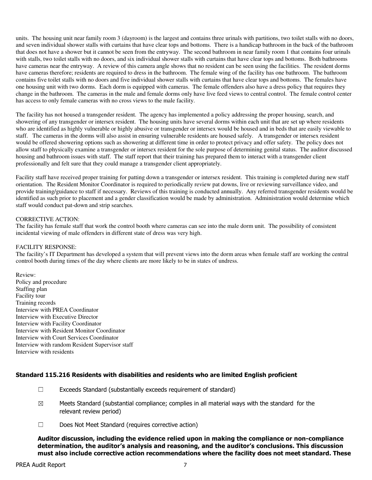units. The housing unit near family room 3 (dayroom) is the largest and contains three urinals with partitions, two toilet stalls with no doors, and seven individual shower stalls with curtains that have clear tops and bottoms. There is a handicap bathroom in the back of the bathroom that does not have a shower but it cannot be seen from the entryway. The second bathroom in near family room 1 that contains four urinals with stalls, two toilet stalls with no doors, and six individual shower stalls with curtains that have clear tops and bottoms. Both bathrooms have cameras near the entryway. A review of this camera angle shows that no resident can be seen using the facilities. The resident dorms have cameras therefore; residents are required to dress in the bathroom. The female wing of the facility has one bathroom. The bathroom contains five toilet stalls with no doors and five individual shower stalls with curtains that have clear tops and bottoms. The females have one housing unit with two dorms. Each dorm is equipped with cameras. The female offenders also have a dress policy that requires they change in the bathroom. The cameras in the male and female dorms only have live feed views to central control. The female control center has access to only female cameras with no cross views to the male facility.

The facility has not housed a transgender resident. The agency has implemented a policy addressing the proper housing, search, and showering of any transgender or intersex resident. The housing units have several dorms within each unit that are set up where residents who are identified as highly vulnerable or highly abusive or transgender or intersex would be housed and in beds that are easily viewable to staff. The cameras in the dorms will also assist in ensuring vulnerable residents are housed safely. A transgender or intersex resident would be offered showering options such as showering at different time in order to protect privacy and offer safety. The policy does not allow staff to physically examine a transgender or intersex resident for the sole purpose of determining genital status. The auditor discussed housing and bathroom issues with staff. The staff report that their training has prepared them to interact with a transgender client professionally and felt sure that they could manage a transgender client appropriately.

Facility staff have received proper training for patting down a transgender or intersex resident. This training is completed during new staff orientation. The Resident Monitor Coordinator is required to periodically review pat downs, live or reviewing surveillance video, and provide training/guidance to staff if necessary. Reviews of this training is conducted annually. Any referred transgender residents would be identified as such prior to placement and a gender classification would be made by administration. Administration would determine which staff would conduct pat-down and strip searches.

#### CORRECTIVE ACTION:

The facility has female staff that work the control booth where cameras can see into the male dorm unit. The possibility of consistent incidental viewing of male offenders in different state of dress was very high.

#### FACILITY RESPONSE:

The facility's IT Department has developed a system that will prevent views into the dorm areas when female staff are working the central control booth during times of the day where clients are more likely to be in states of undress.

Review: Policy and procedure Staffing plan Facility tour Training records Interview with PREA Coordinator Interview with Executive Director Interview with Facility Coordinator Interview with Resident Monitor Coordinator Interview with Court Services Coordinator Interview with random Resident Supervisor staff Interview with residents

# Standard 115.216 Residents with disabilities and residents who are limited English proficient

- ☐ Exceeds Standard (substantially exceeds requirement of standard)
- $\boxtimes$  Meets Standard (substantial compliance; complies in all material ways with the standard for the relevant review period)
- ☐ Does Not Meet Standard (requires corrective action)

Auditor discussion, including the evidence relied upon in making the compliance or non-compliance determination, the auditor's analysis and reasoning, and the auditor's conclusions. This discussion must also include corrective action recommendations where the facility does not meet standard. These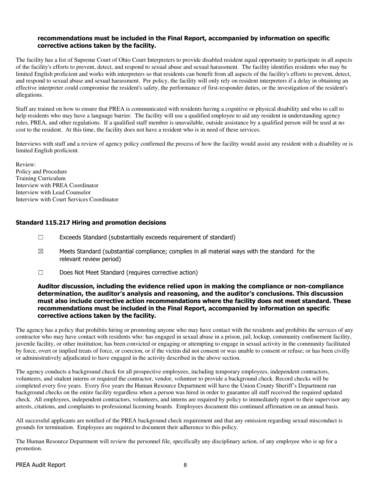### recommendations must be included in the Final Report, accompanied by information on specific corrective actions taken by the facility.

The facility has a list of Supreme Court of Ohio Court Interpreters to provide disabled resident equal opportunity to participate in all aspects of the facility's efforts to prevent, detect, and respond to sexual abuse and sexual harassment. The facility identifies residents who may be limited English proficient and works with interpreters so that residents can benefit from all aspects of the facility's efforts to prevent, detect, and respond to sexual abuse and sexual harassment. Per policy, the facility will only rely on resident interpreters if a delay in obtaining an effective interpreter could compromise the resident's safety, the performance of first-responder duties, or the investigation of the resident's allegations.

Staff are trained on how to ensure that PREA is communicated with residents having a cognitive or physical disability and who to call to help residents who may have a language barrier. The facility will use a qualified employee to aid any resident in understanding agency rules, PREA, and other regulations. If a qualified staff member is unavailable, outside assistance by a qualified person will be used at no cost to the resident. At this time, the facility does not have a resident who is in need of these services.

Interviews with staff and a review of agency policy confirmed the process of how the facility would assist any resident with a disability or is limited English proficient.

Review: Policy and Procedure Training Curriculum Interview with PREA Coordinator Interview with Lead Counselor Interview with Court Services Coordinator

# Standard 115.217 Hiring and promotion decisions

- ☐ Exceeds Standard (substantially exceeds requirement of standard)
- $\boxtimes$  Meets Standard (substantial compliance; complies in all material ways with the standard for the relevant review period)
- ☐ Does Not Meet Standard (requires corrective action)

#### Auditor discussion, including the evidence relied upon in making the compliance or non-compliance determination, the auditor's analysis and reasoning, and the auditor's conclusions. This discussion must also include corrective action recommendations where the facility does not meet standard. These recommendations must be included in the Final Report, accompanied by information on specific corrective actions taken by the facility.

The agency has a policy that prohibits hiring or promoting anyone who may have contact with the residents and prohibits the services of any contractor who may have contact with residents who: has engaged in sexual abuse in a prison, jail, lockup, community confinement facility, juvenile facility, or other institution; has been convicted or engaging or attempting to engage in sexual activity in the community facilitated by force, overt or implied treats of force, or coercion, or if the victim did not consent or was unable to consent or refuse; or has been civilly or administratively adjudicated to have engaged in the activity described in the above section.

The agency conducts a background check for all prospective employees, including temporary employees, independent contractors, volunteers, and student interns or required the contractor, vendor, volunteer to provide a background check. Record checks will be completed every five years. Every five years the Human Resource Department will have the Union County Sheriff's Department run background checks on the entire facility regardless when a person was hired in order to guarantee all staff received the required updated check. All employees, independent contractors, volunteers, and interns are required by policy to immediately report to their supervisor any arrests, citations, and complaints to professional licensing boards. Employees document this continued affirmation on an annual basis.

All successful applicants are notified of the PREA background check requirement and that any omission regarding sexual misconduct is grounds for termination. Employees are required to document their adherence to this policy.

The Human Resource Department will review the personnel file, specifically any disciplinary action, of any employee who is up for a promotion.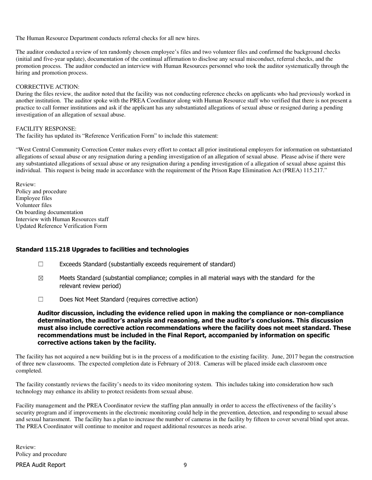The Human Resource Department conducts referral checks for all new hires.

The auditor conducted a review of ten randomly chosen employee's files and two volunteer files and confirmed the background checks (initial and five-year update), documentation of the continual affirmation to disclose any sexual misconduct, referral checks, and the promotion process. The auditor conducted an interview with Human Resources personnel who took the auditor systematically through the hiring and promotion process.

#### CORRECTIVE ACTION:

During the files review, the auditor noted that the facility was not conducting reference checks on applicants who had previously worked in another institution. The auditor spoke with the PREA Coordinator along with Human Resource staff who verified that there is not present a practice to call former institutions and ask if the applicant has any substantiated allegations of sexual abuse or resigned during a pending investigation of an allegation of sexual abuse.

### FACILITY RESPONSE:

The facility has updated its "Reference Verification Form" to include this statement:

"West Central Community Correction Center makes every effort to contact all prior institutional employers for information on substantiated allegations of sexual abuse or any resignation during a pending investigation of an allegation of sexual abuse. Please advise if there were any substantiated allegations of sexual abuse or any resignation during a pending investigation of a allegation of sexual abuse against this individual. This request is being made in accordance with the requirement of the Prison Rape Elimination Act (PREA) 115.217."

Review: Policy and procedure Employee files Volunteer files On boarding documentation Interview with Human Resources staff Updated Reference Verification Form

# Standard 115.218 Upgrades to facilities and technologies

- $\Box$  Exceeds Standard (substantially exceeds requirement of standard)
- $\boxtimes$  Meets Standard (substantial compliance; complies in all material ways with the standard for the relevant review period)
- ☐ Does Not Meet Standard (requires corrective action)

Auditor discussion, including the evidence relied upon in making the compliance or non-compliance determination, the auditor's analysis and reasoning, and the auditor's conclusions. This discussion must also include corrective action recommendations where the facility does not meet standard. These recommendations must be included in the Final Report, accompanied by information on specific corrective actions taken by the facility.

The facility has not acquired a new building but is in the process of a modification to the existing facility. June, 2017 began the construction of three new classrooms. The expected completion date is February of 2018. Cameras will be placed inside each classroom once completed.

The facility constantly reviews the facility's needs to its video monitoring system. This includes taking into consideration how such technology may enhance its ability to protect residents from sexual abuse.

Facility management and the PREA Coordinator review the staffing plan annually in order to access the effectiveness of the facility's security program and if improvements in the electronic monitoring could help in the prevention, detection, and responding to sexual abuse and sexual harassment. The facility has a plan to increase the number of cameras in the facility by fifteen to cover several blind spot areas. The PREA Coordinator will continue to monitor and request additional resources as needs arise.

Review: Policy and procedure

#### PREA Audit Report 9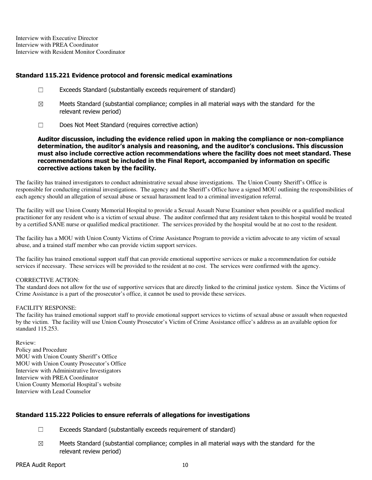Interview with Executive Director Interview with PREA Coordinator Interview with Resident Monitor Coordinator

### Standard 115.221 Evidence protocol and forensic medical examinations

- ☐ Exceeds Standard (substantially exceeds requirement of standard)
- $\boxtimes$  Meets Standard (substantial compliance; complies in all material ways with the standard for the relevant review period)
- ☐ Does Not Meet Standard (requires corrective action)

Auditor discussion, including the evidence relied upon in making the compliance or non-compliance determination, the auditor's analysis and reasoning, and the auditor's conclusions. This discussion must also include corrective action recommendations where the facility does not meet standard. These recommendations must be included in the Final Report, accompanied by information on specific corrective actions taken by the facility.

The facility has trained investigators to conduct administrative sexual abuse investigations. The Union County Sheriff's Office is responsible for conducting criminal investigations. The agency and the Sheriff's Office have a signed MOU outlining the responsibilities of each agency should an allegation of sexual abuse or sexual harassment lead to a criminal investigation referral.

The facility will use Union County Memorial Hospital to provide a Sexual Assault Nurse Examiner when possible or a qualified medical practitioner for any resident who is a victim of sexual abuse. The auditor confirmed that any resident taken to this hospital would be treated by a certified SANE nurse or qualified medical practitioner. The services provided by the hospital would be at no cost to the resident.

The facility has a MOU with Union County Victims of Crime Assistance Program to provide a victim advocate to any victim of sexual abuse, and a trained staff member who can provide victim support services.

The facility has trained emotional support staff that can provide emotional supportive services or make a recommendation for outside services if necessary. These services will be provided to the resident at no cost. The services were confirmed with the agency.

#### CORRECTIVE ACTION:

The standard does not allow for the use of supportive services that are directly linked to the criminal justice system. Since the Victims of Crime Assistance is a part of the prosecutor's office, it cannot be used to provide these services.

#### FACILITY RESPONSE:

The facility has trained emotional support staff to provide emotional support services to victims of sexual abuse or assault when requested by the victim. The facility will use Union County Prosecutor's Victim of Crime Assistance office's address as an available option for standard 115.253.

Review: Policy and Procedure MOU with Union County Sheriff's Office MOU with Union County Prosecutor's Office Interview with Administrative Investigators Interview with PREA Coordinator Union County Memorial Hospital's website Interview with Lead Counselor

# Standard 115.222 Policies to ensure referrals of allegations for investigations

- ☐ Exceeds Standard (substantially exceeds requirement of standard)
- $\boxtimes$  Meets Standard (substantial compliance; complies in all material ways with the standard for the relevant review period)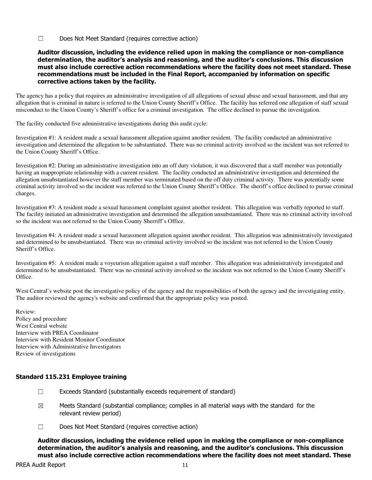☐ Does Not Meet Standard (requires corrective action)

### Auditor discussion, including the evidence relied upon in making the compliance or non-compliance determination, the auditor's analysis and reasoning, and the auditor's conclusions. This discussion must also include corrective action recommendations where the facility does not meet standard. These recommendations must be included in the Final Report, accompanied by information on specific corrective actions taken by the facility.

The agency has a policy that requires an administrative investigation of all allegations of sexual abuse and sexual harassment, and that any allegation that is criminal in nature is referred to the Union County Sheriff's Office. The facility has referred one allegation of staff sexual misconduct to the Union County's Sheriff's office for a criminal investigation. The office declined to pursue the investigation.

The facility conducted five administrative investigations during this audit cycle:

Investigation #1: A resident made a sexual harassment allegation against another resident. The facility conducted an administrative investigation and determined the allegation to be substantiated. There was no criminal activity involved so the incident was not referred to the Union County Sheriff's Office.

Investigation #2: During an administrative investigation into an off duty violation, it was discovered that a staff member was potentially having an inappropriate relationship with a current resident. The facility conducted an administrative investigation and determined the allegation unsubstantiated however the staff member was terminated based on the off duty criminal activity. There was potentially some criminal activity involved so the incident was referred to the Union County Sheriff's Office. The sheriff's office declined to pursue criminal charges.

Investigation #3: A resident made a sexual harassment complaint against another resident. This allegation was verbally reported to staff. The facility initiated an administrative investigation and determined the allegation unsubstantiated. There was no criminal activity involved so the incident was not referred to the Union County Sherriff's Office.

Investigation #4: A resident made a sexual harassment allegation against another resident. This allegation was administratively investigated and determined to be unsubstantiated. There was no criminal activity involved so the incident was not referred to the Union County Sheriff's Office.

Investigation #5: A resident made a voyeurism allegation against a staff member. This allegation was administratively investigated and determined to be unsubstantiated. There was no criminal activity involved so the incident was not referred to the Union County Sheriff's Office.

West Central's website post the investigative policy of the agency and the responsibilities of both the agency and the investigating entity. The auditor reviewed the agency's website and confirmed that the appropriate policy was posted.

Review: Policy and procedure West Central website Interview with PREA Coordinator Interview with Resident Monitor Coordinator Interview with Administrative Investigators Review of investigations

# Standard 115.231 Employee training

- $\Box$  Exceeds Standard (substantially exceeds requirement of standard)
- $\boxtimes$  Meets Standard (substantial compliance; complies in all material ways with the standard for the relevant review period)
- ☐ Does Not Meet Standard (requires corrective action)

Auditor discussion, including the evidence relied upon in making the compliance or non-compliance determination, the auditor's analysis and reasoning, and the auditor's conclusions. This discussion must also include corrective action recommendations where the facility does not meet standard. These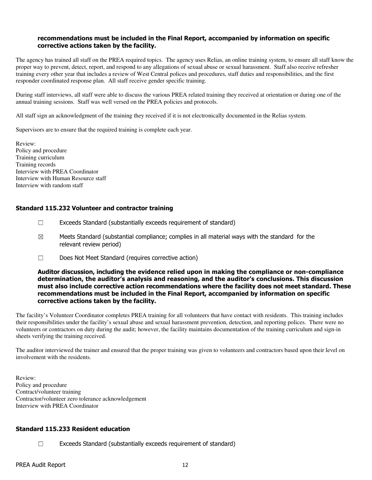### recommendations must be included in the Final Report, accompanied by information on specific corrective actions taken by the facility.

The agency has trained all staff on the PREA required topics. The agency uses Relias, an online training system, to ensure all staff know the proper way to prevent, detect, report, and respond to any allegations of sexual abuse or sexual harassment. Staff also receive refresher training every other year that includes a review of West Central polices and procedures, staff duties and responsibilities, and the first responder coordinated response plan. All staff receive gender specific training.

During staff interviews, all staff were able to discuss the various PREA related training they received at orientation or during one of the annual training sessions. Staff was well versed on the PREA policies and protocols.

All staff sign an acknowledgment of the training they received if it is not electronically documented in the Relias system.

Supervisors are to ensure that the required training is complete each year.

Review: Policy and procedure Training curriculum Training records Interview with PREA Coordinator Interview with Human Resource staff Interview with random staff

# Standard 115.232 Volunteer and contractor training

- ☐ Exceeds Standard (substantially exceeds requirement of standard)
- $\boxtimes$  Meets Standard (substantial compliance; complies in all material ways with the standard for the relevant review period)
- ☐ Does Not Meet Standard (requires corrective action)

#### Auditor discussion, including the evidence relied upon in making the compliance or non-compliance determination, the auditor's analysis and reasoning, and the auditor's conclusions. This discussion must also include corrective action recommendations where the facility does not meet standard. These recommendations must be included in the Final Report, accompanied by information on specific corrective actions taken by the facility.

The facility's Volunteer Coordinator completes PREA training for all volunteers that have contact with residents. This training includes their responsibilities under the facility's sexual abuse and sexual harassment prevention, detection, and reporting polices. There were no volunteers or contractors on duty during the audit; however, the facility maintains documentation of the training curriculum and sign-in sheets verifying the training received.

The auditor interviewed the trainer and ensured that the proper training was given to volunteers and contractors based upon their level on involvement with the residents.

Review: Policy and procedure Contract/volunteer training Contractor/volunteer zero tolerance acknowledgement Interview with PREA Coordinator

#### Standard 115.233 Resident education

☐ Exceeds Standard (substantially exceeds requirement of standard)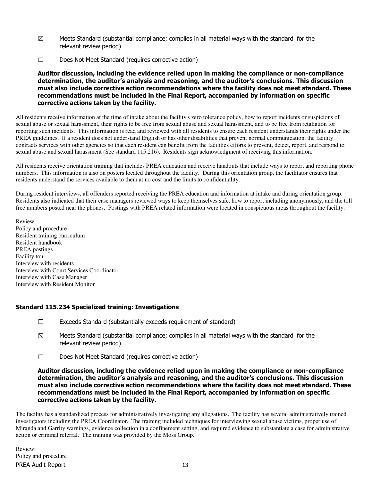- $\boxtimes$  Meets Standard (substantial compliance; complies in all material ways with the standard for the relevant review period)
- ☐ Does Not Meet Standard (requires corrective action)

Auditor discussion, including the evidence relied upon in making the compliance or non-compliance determination, the auditor's analysis and reasoning, and the auditor's conclusions. This discussion must also include corrective action recommendations where the facility does not meet standard. These recommendations must be included in the Final Report, accompanied by information on specific corrective actions taken by the facility.

All residents receive information at the time of intake about the facility's zero tolerance policy, how to report incidents or suspicions of sexual abuse or sexual harassment, their rights to be free from sexual abuse and sexual harassment, and to be free from retaliation for reporting such incidents. This information is read and reviewed with all residents to ensure each resident understands their rights under the PREA guidelines. If a resident does not understand English or has other disabilities that prevent normal communication, the facility contracts services with other agencies so that each resident can benefit from the facilities efforts to prevent, detect, report, and respond to sexual abuse and sexual harassment (See standard 115.216). Residents sign acknowledgment of receiving this information.

All residents receive orientation training that includes PREA education and receive handouts that include ways to report and reporting phone numbers. This information is also on posters located throughout the facility. During this orientation group, the facilitator ensures that residents understand the services available to them at no cost and the limits to confidentiality.

During resident interviews, all offenders reported receiving the PREA education and information at intake and during orientation group. Residents also indicated that their case managers reviewed ways to keep themselves safe, how to report including anonymously, and the toll free numbers posted near the phones. Postings with PREA related information were located in conspicuous areas throughout the facility.

Review: Policy and procedure Resident training curriculum Resident handbook PREA postings Facility tour Interview with residents Interview with Court Services Coordinator Interview with Case Manager Interview with Resident Monitor

# Standard 115.234 Specialized training: Investigations

- ☐ Exceeds Standard (substantially exceeds requirement of standard)
- $\boxtimes$  Meets Standard (substantial compliance; complies in all material ways with the standard for the relevant review period)
- ☐ Does Not Meet Standard (requires corrective action)

Auditor discussion, including the evidence relied upon in making the compliance or non-compliance determination, the auditor's analysis and reasoning, and the auditor's conclusions. This discussion must also include corrective action recommendations where the facility does not meet standard. These recommendations must be included in the Final Report, accompanied by information on specific corrective actions taken by the facility.

The facility has a standardized process for administratively investigating any allegations. The facility has several administratively trained investigators including the PREA Coordinator. The training included techniques for interviewing sexual abuse victims, proper use of Miranda and Garrity warnings, evidence collection in a confinement setting, and required evidence to substantiate a case for administrative action or criminal referral. The training was provided by the Moss Group.

PREA Audit Report 13 Review: Policy and procedure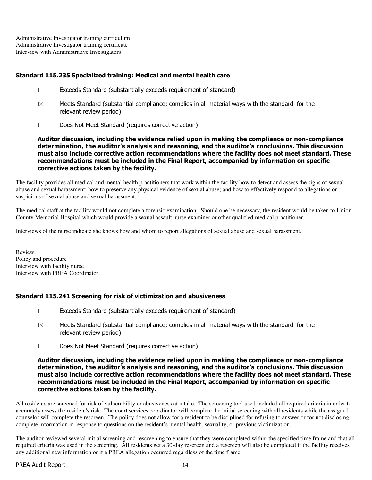Administrative Investigator training curriculum Administrative Investigator training certificate Interview with Administrative Investigators

# Standard 115.235 Specialized training: Medical and mental health care

- ☐ Exceeds Standard (substantially exceeds requirement of standard)
- $\boxtimes$  Meets Standard (substantial compliance; complies in all material ways with the standard for the relevant review period)
- ☐ Does Not Meet Standard (requires corrective action)

Auditor discussion, including the evidence relied upon in making the compliance or non-compliance determination, the auditor's analysis and reasoning, and the auditor's conclusions. This discussion must also include corrective action recommendations where the facility does not meet standard. These recommendations must be included in the Final Report, accompanied by information on specific corrective actions taken by the facility.

The facility provides all medical and mental health practitioners that work within the facility how to detect and assess the signs of sexual abuse and sexual harassment; how to preserve any physical evidence of sexual abuse; and how to effectively respond to allegations or suspicions of sexual abuse and sexual harassment.

The medical staff at the facility would not complete a forensic examination. Should one be necessary, the resident would be taken to Union County Memorial Hospital which would provide a sexual assault nurse examiner or other qualified medical practitioner.

Interviews of the nurse indicate she knows how and whom to report allegations of sexual abuse and sexual harassment.

Review: Policy and procedure Interview with facility nurse Interview with PREA Coordinator

# Standard 115.241 Screening for risk of victimization and abusiveness

- $\Box$  Exceeds Standard (substantially exceeds requirement of standard)
- $\boxtimes$  Meets Standard (substantial compliance; complies in all material ways with the standard for the relevant review period)
- ☐ Does Not Meet Standard (requires corrective action)

### Auditor discussion, including the evidence relied upon in making the compliance or non-compliance determination, the auditor's analysis and reasoning, and the auditor's conclusions. This discussion must also include corrective action recommendations where the facility does not meet standard. These recommendations must be included in the Final Report, accompanied by information on specific corrective actions taken by the facility.

All residents are screened for risk of vulnerability or abusiveness at intake. The screening tool used included all required criteria in order to accurately assess the resident's risk. The court services coordinator will complete the initial screening with all residents while the assigned counselor will complete the rescreen. The policy does not allow for a resident to be disciplined for refusing to answer or for not disclosing complete information in response to questions on the resident's mental health, sexuality, or previous victimization.

The auditor reviewed several initial screening and rescreening to ensure that they were completed within the specified time frame and that all required criteria was used in the screening. All residents get a 30-day rescreen and a rescreen will also be completed if the facility receives any additional new information or if a PREA allegation occurred regardless of the time frame.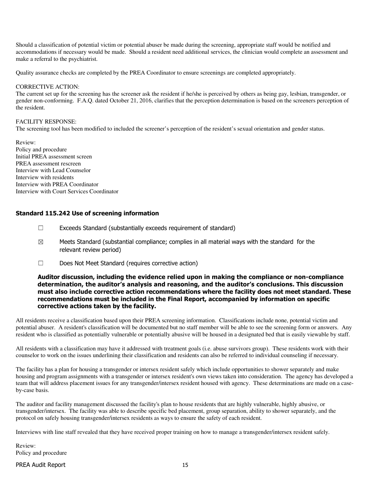Should a classification of potential victim or potential abuser be made during the screening, appropriate staff would be notified and accommodations if necessary would be made. Should a resident need additional services, the clinician would complete an assessment and make a referral to the psychiatrist.

Quality assurance checks are completed by the PREA Coordinator to ensure screenings are completed appropriately.

#### CORRECTIVE ACTION:

The current set up for the screening has the screener ask the resident if he/she is perceived by others as being gay, lesbian, transgender, or gender non-conforming. F.A.Q. dated October 21, 2016, clarifies that the perception determination is based on the screeners perception of the resident.

#### FACILITY RESPONSE:

The screening tool has been modified to included the screener's perception of the resident's sexual orientation and gender status.

Review: Policy and procedure Initial PREA assessment screen PREA assessment rescreen Interview with Lead Counselor Interview with residents Interview with PREA Coordinator Interview with Court Services Coordinator

### Standard 115.242 Use of screening information

- ☐ Exceeds Standard (substantially exceeds requirement of standard)
- $\boxtimes$  Meets Standard (substantial compliance; complies in all material ways with the standard for the relevant review period)
- ☐ Does Not Meet Standard (requires corrective action)

### Auditor discussion, including the evidence relied upon in making the compliance or non-compliance determination, the auditor's analysis and reasoning, and the auditor's conclusions. This discussion must also include corrective action recommendations where the facility does not meet standard. These recommendations must be included in the Final Report, accompanied by information on specific corrective actions taken by the facility.

All residents receive a classification based upon their PREA screening information. Classifications include none, potential victim and potential abuser. A resident's classification will be documented but no staff member will be able to see the screening form or answers. Any resident who is classified as potentially vulnerable or potentially abusive will be housed in a designated bed that is easily viewable by staff.

All residents with a classification may have it addressed with treatment goals (i.e. abuse survivors group). These residents work with their counselor to work on the issues underlining their classification and residents can also be referred to individual counseling if necessary.

The facility has a plan for housing a transgender or intersex resident safely which include opportunities to shower separately and make housing and program assignments with a transgender or intersex resident's own views taken into consideration. The agency has developed a team that will address placement issues for any transgender/intersex resident housed with agency. These determinations are made on a caseby-case basis.

The auditor and facility management discussed the facility's plan to house residents that are highly vulnerable, highly abusive, or transgender/intersex. The facility was able to describe specific bed placement, group separation, ability to shower separately, and the protocol on safely housing transgender/intersex residents as ways to ensure the safety of each resident.

Interviews with line staff revealed that they have received proper training on how to manage a transgender/intersex resident safely.

Review: Policy and procedure

#### PREA Audit Report 15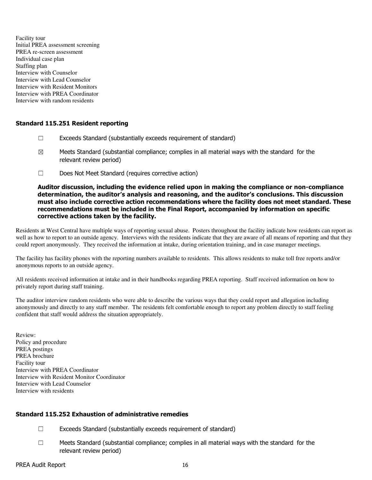Facility tour Initial PREA assessment screening PREA re-screen assessment Individual case plan Staffing plan Interview with Counselor Interview with Lead Counselor Interview with Resident Monitors Interview with PREA Coordinator Interview with random residents

# Standard 115.251 Resident reporting

- $\Box$  Exceeds Standard (substantially exceeds requirement of standard)
- $\boxtimes$  Meets Standard (substantial compliance; complies in all material ways with the standard for the relevant review period)
- ☐ Does Not Meet Standard (requires corrective action)

### Auditor discussion, including the evidence relied upon in making the compliance or non-compliance determination, the auditor's analysis and reasoning, and the auditor's conclusions. This discussion must also include corrective action recommendations where the facility does not meet standard. These recommendations must be included in the Final Report, accompanied by information on specific corrective actions taken by the facility.

Residents at West Central have multiple ways of reporting sexual abuse. Posters throughout the facility indicate how residents can report as well as how to report to an outside agency. Interviews with the residents indicate that they are aware of all means of reporting and that they could report anonymously. They received the information at intake, during orientation training, and in case manager meetings.

The facility has facility phones with the reporting numbers available to residents. This allows residents to make toll free reports and/or anonymous reports to an outside agency.

All residents received information at intake and in their handbooks regarding PREA reporting. Staff received information on how to privately report during staff training.

The auditor interview random residents who were able to describe the various ways that they could report and allegation including anonymously and directly to any staff member. The residents felt comfortable enough to report any problem directly to staff feeling confident that staff would address the situation appropriately.

Review: Policy and procedure PREA postings PREA brochure Facility tour Interview with PREA Coordinator Interview with Resident Monitor Coordinator Interview with Lead Counselor Interview with residents

# Standard 115.252 Exhaustion of administrative remedies

- ☐ Exceeds Standard (substantially exceeds requirement of standard)
- ☐ Meets Standard (substantial compliance; complies in all material ways with the standard for the relevant review period)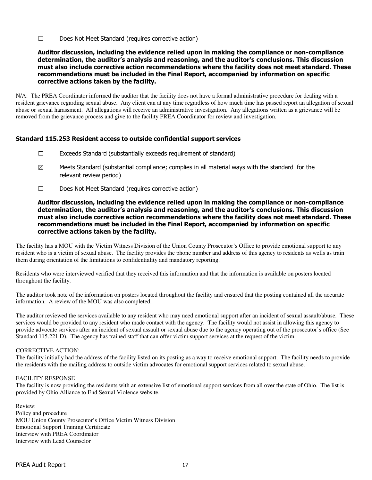☐ Does Not Meet Standard (requires corrective action)

### Auditor discussion, including the evidence relied upon in making the compliance or non-compliance determination, the auditor's analysis and reasoning, and the auditor's conclusions. This discussion must also include corrective action recommendations where the facility does not meet standard. These recommendations must be included in the Final Report, accompanied by information on specific corrective actions taken by the facility.

N/A: The PREA Coordinator informed the auditor that the facility does not have a formal administrative procedure for dealing with a resident grievance regarding sexual abuse. Any client can at any time regardless of how much time has passed report an allegation of sexual abuse or sexual harassment. All allegations will receive an administrative investigation. Any allegations written as a grievance will be removed from the grievance process and give to the facility PREA Coordinator for review and investigation.

# Standard 115.253 Resident access to outside confidential support services

- ☐ Exceeds Standard (substantially exceeds requirement of standard)
- $\boxtimes$  Meets Standard (substantial compliance; complies in all material ways with the standard for the relevant review period)
- ☐ Does Not Meet Standard (requires corrective action)

### Auditor discussion, including the evidence relied upon in making the compliance or non-compliance determination, the auditor's analysis and reasoning, and the auditor's conclusions. This discussion must also include corrective action recommendations where the facility does not meet standard. These recommendations must be included in the Final Report, accompanied by information on specific corrective actions taken by the facility.

The facility has a MOU with the Victim Witness Division of the Union County Prosecutor's Office to provide emotional support to any resident who is a victim of sexual abuse. The facility provides the phone number and address of this agency to residents as wells as train them during orientation of the limitations to confidentiality and mandatory reporting.

Residents who were interviewed verified that they received this information and that the information is available on posters located throughout the facility.

The auditor took note of the information on posters located throughout the facility and ensured that the posting contained all the accurate information. A review of the MOU was also completed.

The auditor reviewed the services available to any resident who may need emotional support after an incident of sexual assault/abuse. These services would be provided to any resident who made contact with the agency. The facility would not assist in allowing this agency to provide advocate services after an incident of sexual assault or sexual abuse due to the agency operating out of the prosecutor's office (See Standard 115.221 D). The agency has trained staff that can offer victim support services at the request of the victim.

#### CORRECTIVE ACTION:

The facility initially had the address of the facility listed on its posting as a way to receive emotional support. The facility needs to provide the residents with the mailing address to outside victim advocates for emotional support services related to sexual abuse.

#### FACILITY RESPONSE

The facility is now providing the residents with an extensive list of emotional support services from all over the state of Ohio. The list is provided by Ohio Alliance to End Sexual Violence website.

Review: Policy and procedure MOU Union County Prosecutor's Office Victim Witness Division Emotional Support Training Certificate Interview with PREA Coordinator Interview with Lead Counselor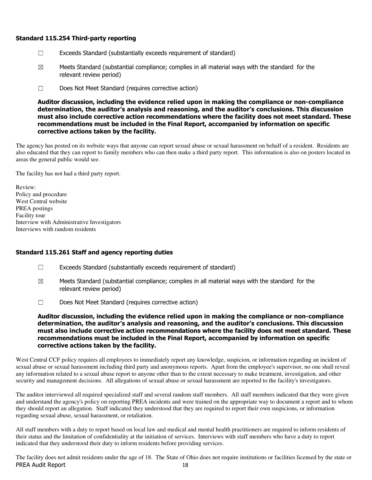### Standard 115.254 Third-party reporting

- ☐ Exceeds Standard (substantially exceeds requirement of standard)
- $\boxtimes$  Meets Standard (substantial compliance; complies in all material ways with the standard for the relevant review period)
- ☐ Does Not Meet Standard (requires corrective action)

Auditor discussion, including the evidence relied upon in making the compliance or non-compliance determination, the auditor's analysis and reasoning, and the auditor's conclusions. This discussion must also include corrective action recommendations where the facility does not meet standard. These recommendations must be included in the Final Report, accompanied by information on specific corrective actions taken by the facility.

The agency has posted on its website ways that anyone can report sexual abuse or sexual harassment on behalf of a resident. Residents are also educated that they can report to family members who can then make a third party report. This information is also on posters located in areas the general public would see.

The facility has not had a third party report.

Review: Policy and procedure West Central website PREA postings Facility tour Interview with Administrative Investigators Interviews with random residents

#### Standard 115.261 Staff and agency reporting duties

- $\Box$  Exceeds Standard (substantially exceeds requirement of standard)
- $\boxtimes$  Meets Standard (substantial compliance; complies in all material ways with the standard for the relevant review period)
- ☐ Does Not Meet Standard (requires corrective action)

### Auditor discussion, including the evidence relied upon in making the compliance or non-compliance determination, the auditor's analysis and reasoning, and the auditor's conclusions. This discussion must also include corrective action recommendations where the facility does not meet standard. These recommendations must be included in the Final Report, accompanied by information on specific corrective actions taken by the facility.

West Central CCF policy requires all employees to immediately report any knowledge, suspicion, or information regarding an incident of sexual abuse or sexual harassment including third party and anonymous reports. Apart from the employee's supervisor, no one shall reveal any information related to a sexual abuse report to anyone other than to the extent necessary to make treatment, investigation, and other security and management decisions. All allegations of sexual abuse or sexual harassment are reported to the facility's investigators.

The auditor interviewed all required specialized staff and several random staff members. All staff members indicated that they were given and understand the agency's policy on reporting PREA incidents and were trained on the appropriate way to document a report and to whom they should report an allegation. Staff indicated they understood that they are required to report their own suspicions, or information regarding sexual abuse, sexual harassment, or retaliation.

All staff members with a duty to report based on local law and medical and mental health practitioners are required to inform residents of their status and the limitation of confidentiality at the initiation of services. Interviews with staff members who have a duty to report indicated that they understood their duty to inform residents before providing services.

PREA Audit Report 18 The facility does not admit residents under the age of 18. The State of Ohio does not require institutions or facilities licensed by the state or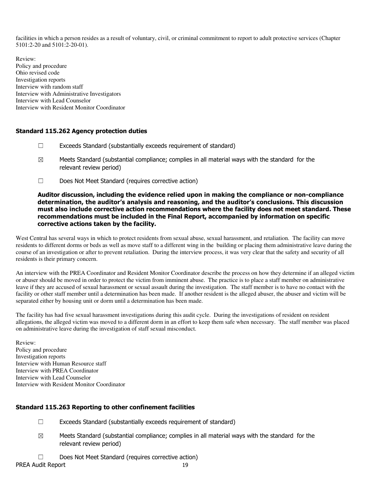facilities in which a person resides as a result of voluntary, civil, or criminal commitment to report to adult protective services (Chapter 5101:2-20 and 5101:2-20-01).

Review: Policy and procedure Ohio revised code Investigation reports Interview with random staff Interview with Administrative Investigators Interview with Lead Counselor Interview with Resident Monitor Coordinator

### Standard 115.262 Agency protection duties

- ☐ Exceeds Standard (substantially exceeds requirement of standard)
- $\boxtimes$  Meets Standard (substantial compliance; complies in all material ways with the standard for the relevant review period)
- ☐ Does Not Meet Standard (requires corrective action)

### Auditor discussion, including the evidence relied upon in making the compliance or non-compliance determination, the auditor's analysis and reasoning, and the auditor's conclusions. This discussion must also include corrective action recommendations where the facility does not meet standard. These recommendations must be included in the Final Report, accompanied by information on specific corrective actions taken by the facility.

West Central has several ways in which to protect residents from sexual abuse, sexual harassment, and retaliation. The facility can move residents to different dorms or beds as well as move staff to a different wing in the building or placing them administrative leave during the course of an investigation or after to prevent retaliation. During the interview process, it was very clear that the safety and security of all residents is their primary concern.

An interview with the PREA Coordinator and Resident Monitor Coordinator describe the process on how they determine if an alleged victim or abuser should be moved in order to protect the victim from imminent abuse. The practice is to place a staff member on administrative leave if they are accused of sexual harassment or sexual assault during the investigation. The staff member is to have no contact with the facility or other staff member until a determination has been made. If another resident is the alleged abuser, the abuser and victim will be separated either by housing unit or dorm until a determination has been made.

The facility has had five sexual harassment investigations during this audit cycle. During the investigations of resident on resident allegations, the alleged victim was moved to a different dorm in an effort to keep them safe when necessary. The staff member was placed on administrative leave during the investigation of staff sexual misconduct.

Review: Policy and procedure Investigation reports Interview with Human Resource staff Interview with PREA Coordinator Interview with Lead Counselor Interview with Resident Monitor Coordinator

# Standard 115.263 Reporting to other confinement facilities

- $\Box$  Exceeds Standard (substantially exceeds requirement of standard)
- $\boxtimes$  Meets Standard (substantial compliance; complies in all material ways with the standard for the relevant review period)
- ☐ Does Not Meet Standard (requires corrective action)

PREA Audit Report 19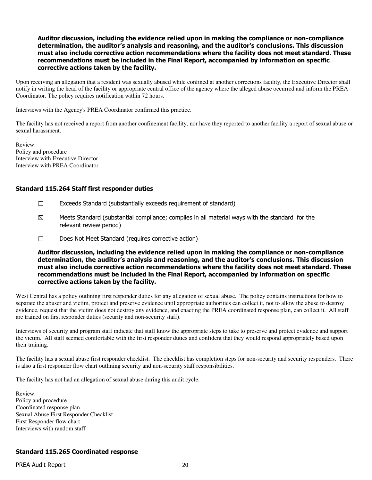### Auditor discussion, including the evidence relied upon in making the compliance or non-compliance determination, the auditor's analysis and reasoning, and the auditor's conclusions. This discussion must also include corrective action recommendations where the facility does not meet standard. These recommendations must be included in the Final Report, accompanied by information on specific corrective actions taken by the facility.

Upon receiving an allegation that a resident was sexually abused while confined at another corrections facility, the Executive Director shall notify in writing the head of the facility or appropriate central office of the agency where the alleged abuse occurred and inform the PREA Coordinator. The policy requires notification within 72 hours.

Interviews with the Agency's PREA Coordinator confirmed this practice.

The facility has not received a report from another confinement facility, nor have they reported to another facility a report of sexual abuse or sexual harassment.

Review: Policy and procedure Interview with Executive Director Interview with PREA Coordinator

### Standard 115.264 Staff first responder duties

- $\Box$  Exceeds Standard (substantially exceeds requirement of standard)
- $\boxtimes$  Meets Standard (substantial compliance; complies in all material ways with the standard for the relevant review period)
- ☐ Does Not Meet Standard (requires corrective action)

Auditor discussion, including the evidence relied upon in making the compliance or non-compliance determination, the auditor's analysis and reasoning, and the auditor's conclusions. This discussion must also include corrective action recommendations where the facility does not meet standard. These recommendations must be included in the Final Report, accompanied by information on specific corrective actions taken by the facility.

West Central has a policy outlining first responder duties for any allegation of sexual abuse. The policy contains instructions for how to separate the abuser and victim, protect and preserve evidence until appropriate authorities can collect it, not to allow the abuse to destroy evidence, request that the victim does not destroy any evidence, and enacting the PREA coordinated response plan, can collect it. All staff are trained on first responder duties (security and non-security staff).

Interviews of security and program staff indicate that staff know the appropriate steps to take to preserve and protect evidence and support the victim. All staff seemed comfortable with the first responder duties and confident that they would respond appropriately based upon their training.

The facility has a sexual abuse first responder checklist. The checklist has completion steps for non-security and security responders. There is also a first responder flow chart outlining security and non-security staff responsibilities.

The facility has not had an allegation of sexual abuse during this audit cycle.

Review: Policy and procedure Coordinated response plan Sexual Abuse First Responder Checklist First Responder flow chart Interviews with random staff

# Standard 115.265 Coordinated response

PREA Audit Report 20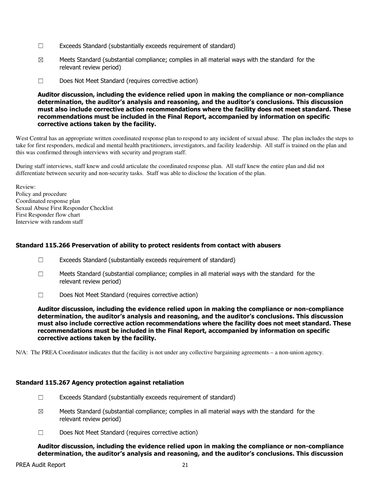- $\Box$  Exceeds Standard (substantially exceeds requirement of standard)
- $\boxtimes$  Meets Standard (substantial compliance; complies in all material ways with the standard for the relevant review period)
- ☐ Does Not Meet Standard (requires corrective action)

### Auditor discussion, including the evidence relied upon in making the compliance or non-compliance determination, the auditor's analysis and reasoning, and the auditor's conclusions. This discussion must also include corrective action recommendations where the facility does not meet standard. These recommendations must be included in the Final Report, accompanied by information on specific corrective actions taken by the facility.

West Central has an appropriate written coordinated response plan to respond to any incident of sexual abuse. The plan includes the steps to take for first responders, medical and mental health practitioners, investigators, and facility leadership. All staff is trained on the plan and this was confirmed through interviews with security and program staff.

During staff interviews, staff knew and could articulate the coordinated response plan. All staff knew the entire plan and did not differentiate between security and non-security tasks. Staff was able to disclose the location of the plan.

Review: Policy and procedure Coordinated response plan Sexual Abuse First Responder Checklist First Responder flow chart Interview with random staff

# Standard 115.266 Preservation of ability to protect residents from contact with abusers

- ☐ Exceeds Standard (substantially exceeds requirement of standard)
- $\Box$  Meets Standard (substantial compliance; complies in all material ways with the standard for the relevant review period)
- ☐ Does Not Meet Standard (requires corrective action)

Auditor discussion, including the evidence relied upon in making the compliance or non-compliance determination, the auditor's analysis and reasoning, and the auditor's conclusions. This discussion must also include corrective action recommendations where the facility does not meet standard. These recommendations must be included in the Final Report, accompanied by information on specific corrective actions taken by the facility.

N/A: The PREA Coordinator indicates that the facility is not under any collective bargaining agreements – a non-union agency.

#### Standard 115.267 Agency protection against retaliation

- $\Box$  Exceeds Standard (substantially exceeds requirement of standard)
- $\boxtimes$  Meets Standard (substantial compliance; complies in all material ways with the standard for the relevant review period)
- ☐ Does Not Meet Standard (requires corrective action)

Auditor discussion, including the evidence relied upon in making the compliance or non-compliance determination, the auditor's analysis and reasoning, and the auditor's conclusions. This discussion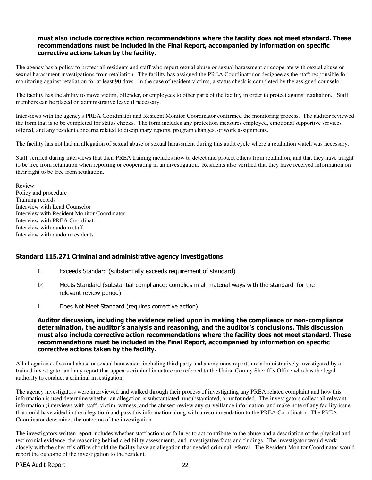### must also include corrective action recommendations where the facility does not meet standard. These recommendations must be included in the Final Report, accompanied by information on specific corrective actions taken by the facility.

The agency has a policy to protect all residents and staff who report sexual abuse or sexual harassment or cooperate with sexual abuse or sexual harassment investigations from retaliation. The facility has assigned the PREA Coordinator or designee as the staff responsible for monitoring against retaliation for at least 90 days. In the case of resident victims, a status check is completed by the assigned counselor.

The facility has the ability to move victim, offender, or employees to other parts of the facility in order to protect against retaliation. Staff members can be placed on administrative leave if necessary.

Interviews with the agency's PREA Coordinator and Resident Monitor Coordinator confirmed the monitoring process. The auditor reviewed the form that is to be completed for status checks. The form includes any protection measures employed, emotional supportive services offered, and any resident concerns related to disciplinary reports, program changes, or work assignments.

The facility has not had an allegation of sexual abuse or sexual harassment during this audit cycle where a retaliation watch was necessary.

Staff verified during interviews that their PREA training includes how to detect and protect others from retaliation, and that they have a right to be free from retaliation when reporting or cooperating in an investigation. Residents also verified that they have received information on their right to be free from retaliation.

Review: Policy and procedure Training records Interview with Lead Counselor Interview with Resident Monitor Coordinator Interview with PREA Coordinator Interview with random staff Interview with random residents

#### Standard 115.271 Criminal and administrative agency investigations

- ☐ Exceeds Standard (substantially exceeds requirement of standard)
- $\boxtimes$  Meets Standard (substantial compliance; complies in all material ways with the standard for the relevant review period)
- ☐ Does Not Meet Standard (requires corrective action)

### Auditor discussion, including the evidence relied upon in making the compliance or non-compliance determination, the auditor's analysis and reasoning, and the auditor's conclusions. This discussion must also include corrective action recommendations where the facility does not meet standard. These recommendations must be included in the Final Report, accompanied by information on specific corrective actions taken by the facility.

All allegations of sexual abuse or sexual harassment including third party and anonymous reports are administratively investigated by a trained investigator and any report that appears criminal in nature are referred to the Union County Sheriff's Office who has the legal authority to conduct a criminal investigation.

The agency investigators were interviewed and walked through their process of investigating any PREA related complaint and how this information is used determine whether an allegation is substantiated, unsubstantiated, or unfounded. The investigators collect all relevant information (interviews with staff, victim, witness, and the abuser; review any surveillance information, and make note of any facility issue that could have aided in the allegation) and pass this information along with a recommendation to the PREA Coordinator. The PREA Coordinator determines the outcome of the investigation.

The investigators written report includes whether staff actions or failures to act contribute to the abuse and a description of the physical and testimonial evidence, the reasoning behind credibility assessments, and investigative facts and findings. The investigator would work closely with the sheriff's office should the facility have an allegation that needed criminal referral. The Resident Monitor Coordinator would report the outcome of the investigation to the resident.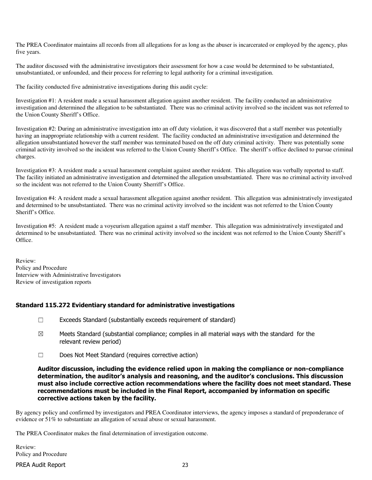The PREA Coordinator maintains all records from all allegations for as long as the abuser is incarcerated or employed by the agency, plus five years.

The auditor discussed with the administrative investigators their assessment for how a case would be determined to be substantiated, unsubstantiated, or unfounded, and their process for referring to legal authority for a criminal investigation.

The facility conducted five administrative investigations during this audit cycle:

Investigation #1: A resident made a sexual harassment allegation against another resident. The facility conducted an administrative investigation and determined the allegation to be substantiated. There was no criminal activity involved so the incident was not referred to the Union County Sheriff's Office.

Investigation #2: During an administrative investigation into an off duty violation, it was discovered that a staff member was potentially having an inappropriate relationship with a current resident. The facility conducted an administrative investigation and determined the allegation unsubstantiated however the staff member was terminated based on the off duty criminal activity. There was potentially some criminal activity involved so the incident was referred to the Union County Sheriff's Office. The sheriff's office declined to pursue criminal charges.

Investigation #3: A resident made a sexual harassment complaint against another resident. This allegation was verbally reported to staff. The facility initiated an administrative investigation and determined the allegation unsubstantiated. There was no criminal activity involved so the incident was not referred to the Union County Sherriff's Office.

Investigation #4: A resident made a sexual harassment allegation against another resident. This allegation was administratively investigated and determined to be unsubstantiated. There was no criminal activity involved so the incident was not referred to the Union County Sheriff's Office.

Investigation #5: A resident made a voyeurism allegation against a staff member. This allegation was administratively investigated and determined to be unsubstantiated. There was no criminal activity involved so the incident was not referred to the Union County Sheriff's Office.

Review: Policy and Procedure Interview with Administrative Investigators Review of investigation reports

# Standard 115.272 Evidentiary standard for administrative investigations

- ☐ Exceeds Standard (substantially exceeds requirement of standard)
- $\boxtimes$  Meets Standard (substantial compliance; complies in all material ways with the standard for the relevant review period)
- ☐ Does Not Meet Standard (requires corrective action)

Auditor discussion, including the evidence relied upon in making the compliance or non-compliance determination, the auditor's analysis and reasoning, and the auditor's conclusions. This discussion must also include corrective action recommendations where the facility does not meet standard. These recommendations must be included in the Final Report, accompanied by information on specific corrective actions taken by the facility.

By agency policy and confirmed by investigators and PREA Coordinator interviews, the agency imposes a standard of preponderance of evidence or 51% to substantiate an allegation of sexual abuse or sexual harassment.

The PREA Coordinator makes the final determination of investigation outcome.

Review: Policy and Procedure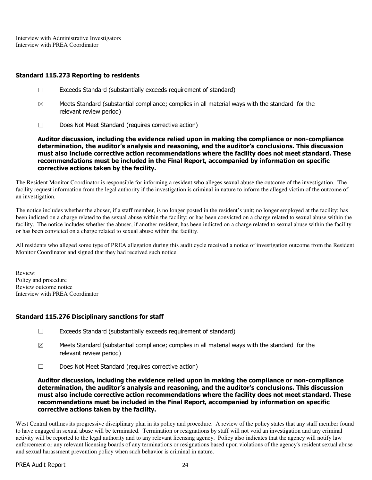Interview with Administrative Investigators Interview with PREA Coordinator

### Standard 115.273 Reporting to residents

- ☐ Exceeds Standard (substantially exceeds requirement of standard)
- $\boxtimes$  Meets Standard (substantial compliance; complies in all material ways with the standard for the relevant review period)
- ☐ Does Not Meet Standard (requires corrective action)

Auditor discussion, including the evidence relied upon in making the compliance or non-compliance determination, the auditor's analysis and reasoning, and the auditor's conclusions. This discussion must also include corrective action recommendations where the facility does not meet standard. These recommendations must be included in the Final Report, accompanied by information on specific corrective actions taken by the facility.

The Resident Monitor Coordinator is responsible for informing a resident who alleges sexual abuse the outcome of the investigation. The facility request information from the legal authority if the investigation is criminal in nature to inform the alleged victim of the outcome of an investigation.

The notice includes whether the abuser, if a staff member, is no longer posted in the resident's unit; no longer employed at the facility; has been indicted on a charge related to the sexual abuse within the facility; or has been convicted on a charge related to sexual abuse within the facility. The notice includes whether the abuser, if another resident, has been indicted on a charge related to sexual abuse within the facility or has been convicted on a charge related to sexual abuse within the facility.

All residents who alleged some type of PREA allegation during this audit cycle received a notice of investigation outcome from the Resident Monitor Coordinator and signed that they had received such notice.

Review: Policy and procedure Review outcome notice Interview with PREA Coordinator

# Standard 115.276 Disciplinary sanctions for staff

- $\Box$  Exceeds Standard (substantially exceeds requirement of standard)
- $\boxtimes$  Meets Standard (substantial compliance; complies in all material ways with the standard for the relevant review period)
- ☐ Does Not Meet Standard (requires corrective action)

Auditor discussion, including the evidence relied upon in making the compliance or non-compliance determination, the auditor's analysis and reasoning, and the auditor's conclusions. This discussion must also include corrective action recommendations where the facility does not meet standard. These recommendations must be included in the Final Report, accompanied by information on specific corrective actions taken by the facility.

West Central outlines its progressive disciplinary plan in its policy and procedure. A review of the policy states that any staff member found to have engaged in sexual abuse will be terminated. Termination or resignations by staff will not void an investigation and any criminal activity will be reported to the legal authority and to any relevant licensing agency. Policy also indicates that the agency will notify law enforcement or any relevant licensing boards of any terminations or resignations based upon violations of the agency's resident sexual abuse and sexual harassment prevention policy when such behavior is criminal in nature.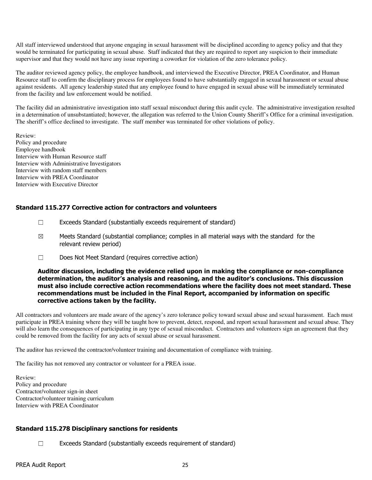All staff interviewed understood that anyone engaging in sexual harassment will be disciplined according to agency policy and that they would be terminated for participating in sexual abuse. Staff indicated that they are required to report any suspicion to their immediate supervisor and that they would not have any issue reporting a coworker for violation of the zero tolerance policy.

The auditor reviewed agency policy, the employee handbook, and interviewed the Executive Director, PREA Coordinator, and Human Resource staff to confirm the disciplinary process for employees found to have substantially engaged in sexual harassment or sexual abuse against residents. All agency leadership stated that any employee found to have engaged in sexual abuse will be immediately terminated from the facility and law enforcement would be notified.

The facility did an administrative investigation into staff sexual misconduct during this audit cycle. The administrative investigation resulted in a determination of unsubstantiated; however, the allegation was referred to the Union County Sheriff's Office for a criminal investigation. The sheriff's office declined to investigate. The staff member was terminated for other violations of policy.

Review: Policy and procedure Employee handbook Interview with Human Resource staff Interview with Administrative Investigators Interview with random staff members Interview with PREA Coordinator Interview with Executive Director

# Standard 115.277 Corrective action for contractors and volunteers

- $\Box$  Exceeds Standard (substantially exceeds requirement of standard)
- $\boxtimes$  Meets Standard (substantial compliance; complies in all material ways with the standard for the relevant review period)
- ☐ Does Not Meet Standard (requires corrective action)

#### Auditor discussion, including the evidence relied upon in making the compliance or non-compliance determination, the auditor's analysis and reasoning, and the auditor's conclusions. This discussion must also include corrective action recommendations where the facility does not meet standard. These recommendations must be included in the Final Report, accompanied by information on specific corrective actions taken by the facility.

All contractors and volunteers are made aware of the agency's zero tolerance policy toward sexual abuse and sexual harassment. Each must participate in PREA training where they will be taught how to prevent, detect, respond, and report sexual harassment and sexual abuse. They will also learn the consequences of participating in any type of sexual misconduct. Contractors and volunteers sign an agreement that they could be removed from the facility for any acts of sexual abuse or sexual harassment.

The auditor has reviewed the contractor/volunteer training and documentation of compliance with training.

The facility has not removed any contractor or volunteer for a PREA issue.

Review: Policy and procedure Contractor/volunteer sign-in sheet Contractor/volunteer training curriculum Interview with PREA Coordinator

# Standard 115.278 Disciplinary sanctions for residents

☐ Exceeds Standard (substantially exceeds requirement of standard)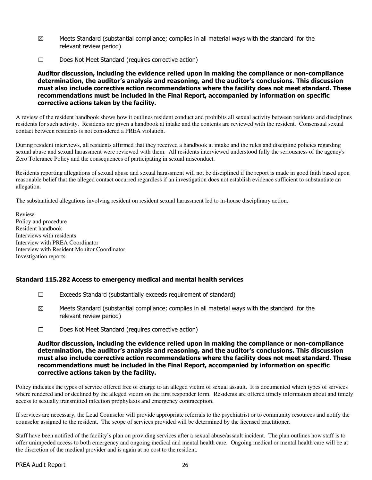- $\boxtimes$  Meets Standard (substantial compliance; complies in all material ways with the standard for the relevant review period)
- ☐ Does Not Meet Standard (requires corrective action)

Auditor discussion, including the evidence relied upon in making the compliance or non-compliance determination, the auditor's analysis and reasoning, and the auditor's conclusions. This discussion must also include corrective action recommendations where the facility does not meet standard. These recommendations must be included in the Final Report, accompanied by information on specific corrective actions taken by the facility.

A review of the resident handbook shows how it outlines resident conduct and prohibits all sexual activity between residents and disciplines residents for such activity. Residents are given a handbook at intake and the contents are reviewed with the resident. Consensual sexual contact between residents is not considered a PREA violation.

During resident interviews, all residents affirmed that they received a handbook at intake and the rules and discipline policies regarding sexual abuse and sexual harassment were reviewed with them. All residents interviewed understood fully the seriousness of the agency's Zero Tolerance Policy and the consequences of participating in sexual misconduct.

Residents reporting allegations of sexual abuse and sexual harassment will not be disciplined if the report is made in good faith based upon reasonable belief that the alleged contact occurred regardless if an investigation does not establish evidence sufficient to substantiate an allegation.

The substantiated allegations involving resident on resident sexual harassment led to in-house disciplinary action.

Review: Policy and procedure Resident handbook Interviews with residents Interview with PREA Coordinator Interview with Resident Monitor Coordinator Investigation reports

# Standard 115.282 Access to emergency medical and mental health services

- $\Box$  Exceeds Standard (substantially exceeds requirement of standard)
- $\boxtimes$  Meets Standard (substantial compliance; complies in all material ways with the standard for the relevant review period)
- ☐ Does Not Meet Standard (requires corrective action)

### Auditor discussion, including the evidence relied upon in making the compliance or non-compliance determination, the auditor's analysis and reasoning, and the auditor's conclusions. This discussion must also include corrective action recommendations where the facility does not meet standard. These recommendations must be included in the Final Report, accompanied by information on specific corrective actions taken by the facility.

Policy indicates the types of service offered free of charge to an alleged victim of sexual assault. It is documented which types of services where rendered and or declined by the alleged victim on the first responder form. Residents are offered timely information about and timely access to sexually transmitted infection prophylaxis and emergency contraception.

If services are necessary, the Lead Counselor will provide appropriate referrals to the psychiatrist or to community resources and notify the counselor assigned to the resident. The scope of services provided will be determined by the licensed practitioner.

Staff have been notified of the facility's plan on providing services after a sexual abuse/assault incident. The plan outlines how staff is to offer unimpeded access to both emergency and ongoing medical and mental health care. Ongoing medical or mental health care will be at the discretion of the medical provider and is again at no cost to the resident.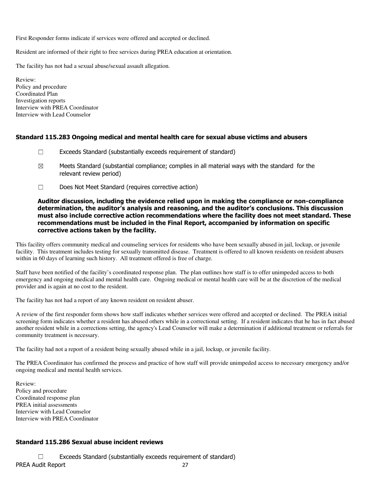First Responder forms indicate if services were offered and accepted or declined.

Resident are informed of their right to free services during PREA education at orientation.

The facility has not had a sexual abuse/sexual assault allegation.

Review: Policy and procedure Coordinated Plan Investigation reports Interview with PREA Coordinator Interview with Lead Counselor

### Standard 115.283 Ongoing medical and mental health care for sexual abuse victims and abusers

- $\Box$  Exceeds Standard (substantially exceeds requirement of standard)
- $\boxtimes$  Meets Standard (substantial compliance; complies in all material ways with the standard for the relevant review period)
- ☐ Does Not Meet Standard (requires corrective action)

### Auditor discussion, including the evidence relied upon in making the compliance or non-compliance determination, the auditor's analysis and reasoning, and the auditor's conclusions. This discussion must also include corrective action recommendations where the facility does not meet standard. These recommendations must be included in the Final Report, accompanied by information on specific corrective actions taken by the facility.

This facility offers community medical and counseling services for residents who have been sexually abused in jail, lockup, or juvenile facility. This treatment includes testing for sexually transmitted disease. Treatment is offered to all known residents on resident abusers within in 60 days of learning such history. All treatment offered is free of charge.

Staff have been notified of the facility's coordinated response plan. The plan outlines how staff is to offer unimpeded access to both emergency and ongoing medical and mental health care. Ongoing medical or mental health care will be at the discretion of the medical provider and is again at no cost to the resident.

The facility has not had a report of any known resident on resident abuser.

A review of the first responder form shows how staff indicates whether services were offered and accepted or declined. The PREA initial screening form indicates whether a resident has abused others while in a correctional setting. If a resident indicates that he has in fact abused another resident while in a corrections setting, the agency's Lead Counselor will make a determination if additional treatment or referrals for community treatment is necessary.

The facility had not a report of a resident being sexually abused while in a jail, lockup, or juvenile facility.

The PREA Coordinator has confirmed the process and practice of how staff will provide unimpeded access to necessary emergency and/or ongoing medical and mental health services.

Review: Policy and procedure Coordinated response plan PREA initial assessments Interview with Lead Counselor Interview with PREA Coordinator

# Standard 115.286 Sexual abuse incident reviews

PREA Audit Report 27 ☐ Exceeds Standard (substantially exceeds requirement of standard)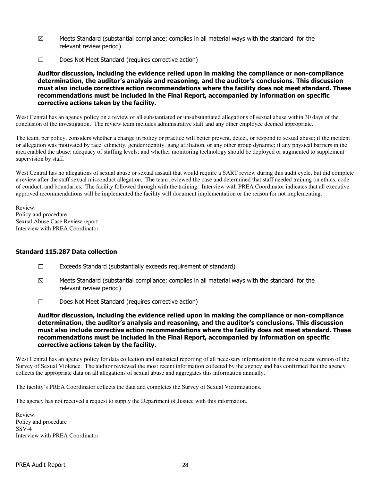- $\boxtimes$  Meets Standard (substantial compliance; complies in all material ways with the standard for the relevant review period)
- ☐ Does Not Meet Standard (requires corrective action)

### Auditor discussion, including the evidence relied upon in making the compliance or non-compliance determination, the auditor's analysis and reasoning, and the auditor's conclusions. This discussion must also include corrective action recommendations where the facility does not meet standard. These recommendations must be included in the Final Report, accompanied by information on specific corrective actions taken by the facility.

West Central has an agency policy on a review of all substantiated or unsubstantiated allegations of sexual abuse within 30 days of the conclusion of the investigation. The review team includes administrative staff and any other employee deemed appropriate.

The team, per policy, considers whether a change in policy or practice will better prevent, detect, or respond to sexual abuse; if the incident or allegation was motivated by race, ethnicity, gender identity, gang affiliation, or any other group dynamic; if any physical barriers in the area enabled the abuse; adequacy of staffing levels; and whether monitoring technology should be deployed or augmented to supplement supervision by staff.

West Central has no allegations of sexual abuse or sexual assault that would require a SART review during this audit cycle, but did complete a review after the staff sexual misconduct allegation. The team reviewed the case and determined that staff needed training on ethics, code of conduct, and boundaries. The facility followed through with the training. Interview with PREA Coordinator indicates that all executive approved recommendations will be implemented the facility will document implementation or the reason for not implementing.

Review: Policy and procedure Sexual Abuse Case Review report Interview with PREA Coordinator

# Standard 115.287 Data collection

- ☐ Exceeds Standard (substantially exceeds requirement of standard)
- $\boxtimes$  Meets Standard (substantial compliance; complies in all material ways with the standard for the relevant review period)
- ☐ Does Not Meet Standard (requires corrective action)

Auditor discussion, including the evidence relied upon in making the compliance or non-compliance determination, the auditor's analysis and reasoning, and the auditor's conclusions. This discussion must also include corrective action recommendations where the facility does not meet standard. These recommendations must be included in the Final Report, accompanied by information on specific corrective actions taken by the facility.

West Central has an agency policy for data collection and statistical reporting of all necessary information in the most recent version of the Survey of Sexual Violence. The auditor reviewed the most recent information collected by the agency and has confirmed that the agency collects the appropriate data on all allegations of sexual abuse and aggregates this information annually.

The facility's PREA Coordinator collects the data and completes the Survey of Sexual Victimizations.

The agency has not received a request to supply the Department of Justice with this information.

Review: Policy and procedure SSV-4 Interview with PREA Coordinator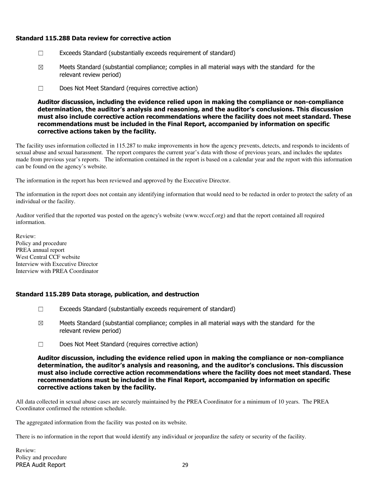# Standard 115.288 Data review for corrective action

- ☐ Exceeds Standard (substantially exceeds requirement of standard)
- $\boxtimes$  Meets Standard (substantial compliance; complies in all material ways with the standard for the relevant review period)
- ☐ Does Not Meet Standard (requires corrective action)

Auditor discussion, including the evidence relied upon in making the compliance or non-compliance determination, the auditor's analysis and reasoning, and the auditor's conclusions. This discussion must also include corrective action recommendations where the facility does not meet standard. These recommendations must be included in the Final Report, accompanied by information on specific corrective actions taken by the facility.

The facility uses information collected in 115.287 to make improvements in how the agency prevents, detects, and responds to incidents of sexual abuse and sexual harassment. The report compares the current year's data with those of previous years, and includes the updates made from previous year's reports. The information contained in the report is based on a calendar year and the report with this information can be found on the agency's website.

The information in the report has been reviewed and approved by the Executive Director.

The information in the report does not contain any identifying information that would need to be redacted in order to protect the safety of an individual or the facility.

Auditor verified that the reported was posted on the agency's website (www.wcccf.org) and that the report contained all required information.

Review: Policy and procedure PREA annual report West Central CCF website Interview with Executive Director Interview with PREA Coordinator

# Standard 115.289 Data storage, publication, and destruction

- $\Box$  Exceeds Standard (substantially exceeds requirement of standard)
- $\boxtimes$  Meets Standard (substantial compliance; complies in all material ways with the standard for the relevant review period)
- ☐ Does Not Meet Standard (requires corrective action)

Auditor discussion, including the evidence relied upon in making the compliance or non-compliance determination, the auditor's analysis and reasoning, and the auditor's conclusions. This discussion must also include corrective action recommendations where the facility does not meet standard. These recommendations must be included in the Final Report, accompanied by information on specific corrective actions taken by the facility.

All data collected in sexual abuse cases are securely maintained by the PREA Coordinator for a minimum of 10 years. The PREA Coordinator confirmed the retention schedule.

The aggregated information from the facility was posted on its website.

There is no information in the report that would identify any individual or jeopardize the safety or security of the facility.

PREA Audit Report 29 Review: Policy and procedure